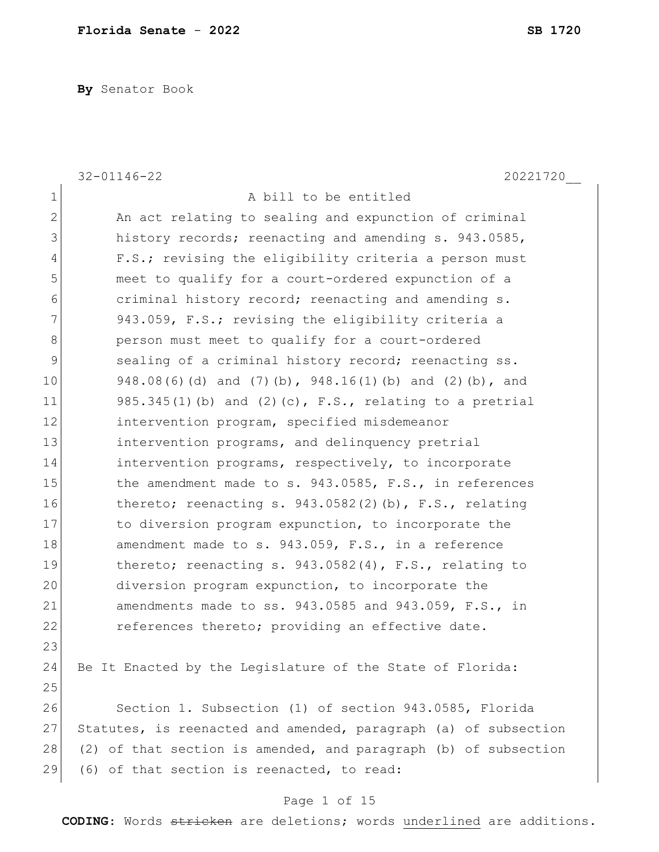**By** Senator Book

|                | $32 - 01146 - 22$<br>20221720                                   |
|----------------|-----------------------------------------------------------------|
| $\mathbf 1$    | A bill to be entitled                                           |
| $\mathbf{2}$   | An act relating to sealing and expunction of criminal           |
| 3              | history records; reenacting and amending s. 943.0585,           |
| $\overline{4}$ | F.S.; revising the eligibility criteria a person must           |
| 5              | meet to qualify for a court-ordered expunction of a             |
| $\sqrt{6}$     | criminal history record; reenacting and amending s.             |
| 7              | 943.059, F.S.; revising the eligibility criteria a              |
| 8              | person must meet to qualify for a court-ordered                 |
| 9              | sealing of a criminal history record; reenacting ss.            |
| 10             | 948.08(6)(d) and (7)(b), 948.16(1)(b) and (2)(b), and           |
| 11             | $985.345(1)$ (b) and (2) (c), F.S., relating to a pretrial      |
| 12             | intervention program, specified misdemeanor                     |
| 13             | intervention programs, and delinquency pretrial                 |
| 14             | intervention programs, respectively, to incorporate             |
| 15             | the amendment made to s. 943.0585, F.S., in references          |
| 16             | thereto; reenacting s. $943.0582(2)$ (b), F.S., relating        |
| 17             | to diversion program expunction, to incorporate the             |
| 18             | amendment made to s. 943.059, F.S., in a reference              |
| 19             | thereto; reenacting s. $943.0582(4)$ , F.S., relating to        |
| 20             | diversion program expunction, to incorporate the                |
| 21             | amendments made to ss. 943.0585 and 943.059, F.S., in           |
| 22             | references thereto; providing an effective date.                |
| 23             |                                                                 |
| 24             | Be It Enacted by the Legislature of the State of Florida:       |
| 25             |                                                                 |
| 26             | Section 1. Subsection (1) of section 943.0585, Florida          |
| 27             | Statutes, is reenacted and amended, paragraph (a) of subsection |
| 28             | (2) of that section is amended, and paragraph (b) of subsection |
| 29             | (6) of that section is reenacted, to read:                      |
|                |                                                                 |

## Page 1 of 15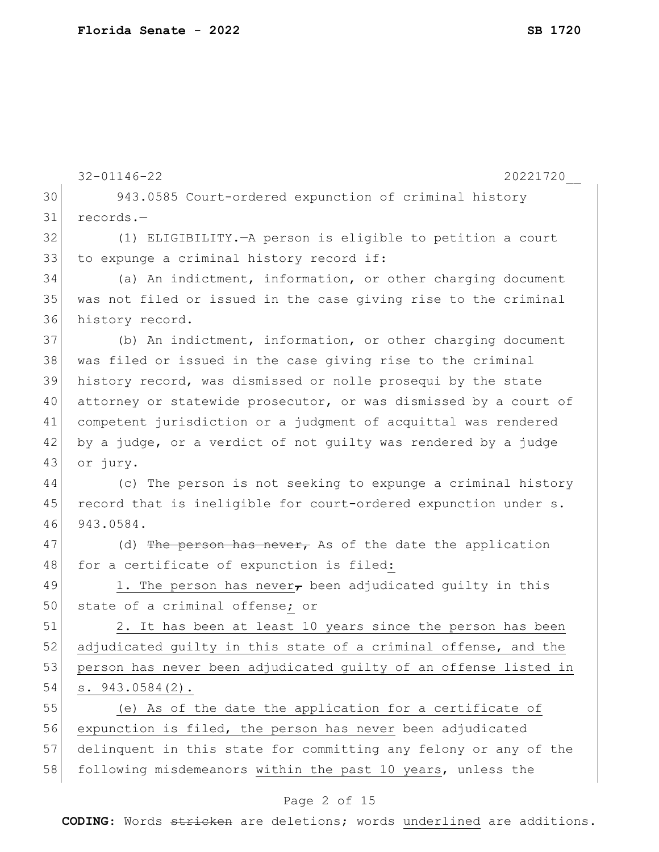|    | $32 - 01146 - 22$<br>20221720                                    |
|----|------------------------------------------------------------------|
| 30 | 943.0585 Court-ordered expunction of criminal history            |
| 31 | records.-                                                        |
| 32 | (1) ELIGIBILITY. - A person is eligible to petition a court      |
| 33 | to expunge a criminal history record if:                         |
| 34 | (a) An indictment, information, or other charging document       |
| 35 | was not filed or issued in the case giving rise to the criminal  |
| 36 | history record.                                                  |
| 37 | (b) An indictment, information, or other charging document       |
| 38 | was filed or issued in the case giving rise to the criminal      |
| 39 | history record, was dismissed or nolle prosequi by the state     |
| 40 | attorney or statewide prosecutor, or was dismissed by a court of |
| 41 | competent jurisdiction or a judgment of acquittal was rendered   |
| 42 | by a judge, or a verdict of not guilty was rendered by a judge   |
| 43 | or jury.                                                         |
| 44 | (c) The person is not seeking to expunge a criminal history      |
| 45 | record that is ineligible for court-ordered expunction under s.  |
| 46 | 943.0584.                                                        |
| 47 | (d) The person has never, As of the date the application         |
| 48 | for a certificate of expunction is filed:                        |
| 49 | 1. The person has never, been adjudicated guilty in this         |
| 50 | state of a criminal offense; or                                  |
| 51 | 2. It has been at least 10 years since the person has been       |
| 52 | adjudicated quilty in this state of a criminal offense, and the  |
| 53 | person has never been adjudicated quilty of an offense listed in |
| 54 | $s. 943.0584(2)$ .                                               |
| 55 | (e) As of the date the application for a certificate of          |
| 56 | expunction is filed, the person has never been adjudicated       |
| 57 | delinquent in this state for committing any felony or any of the |
| 58 | following misdemeanors within the past 10 years, unless the      |

## Page 2 of 15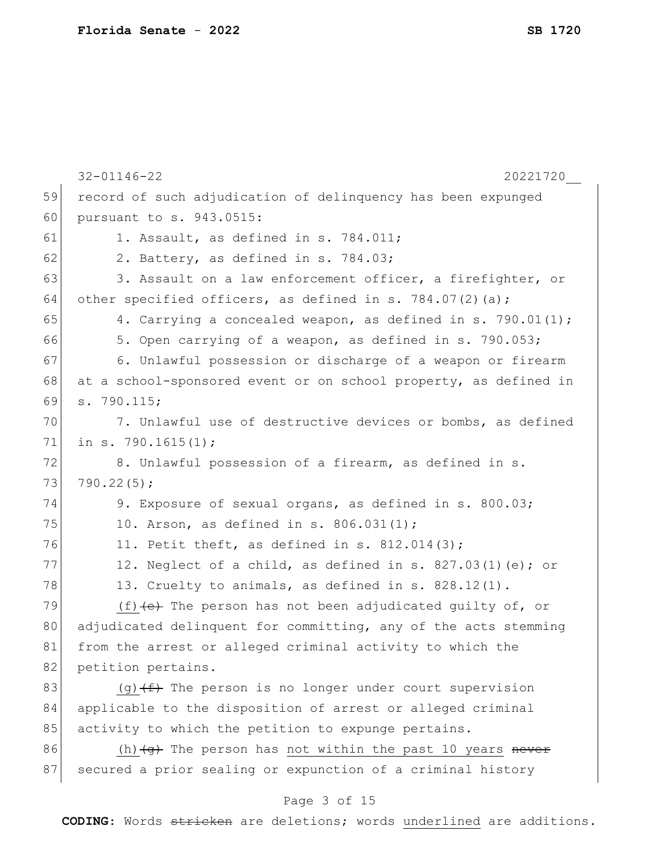|    | $32 - 01146 - 22$<br>20221720                                                    |
|----|----------------------------------------------------------------------------------|
| 59 | record of such adjudication of delinquency has been expunged                     |
| 60 | pursuant to s. 943.0515:                                                         |
| 61 | 1. Assault, as defined in s. 784.011;                                            |
| 62 | 2. Battery, as defined in s. 784.03;                                             |
| 63 | 3. Assault on a law enforcement officer, a firefighter, or                       |
| 64 | other specified officers, as defined in s. 784.07(2)(a);                         |
| 65 | 4. Carrying a concealed weapon, as defined in s. 790.01(1);                      |
| 66 | 5. Open carrying of a weapon, as defined in s. 790.053;                          |
| 67 | 6. Unlawful possession or discharge of a weapon or firearm                       |
| 68 | at a school-sponsored event or on school property, as defined in                 |
| 69 | s. 790.115;                                                                      |
| 70 | 7. Unlawful use of destructive devices or bombs, as defined                      |
| 71 | in s. $790.1615(1)$ ;                                                            |
| 72 | 8. Unlawful possession of a firearm, as defined in s.                            |
| 73 | 790.22(5);                                                                       |
| 74 | 9. Exposure of sexual organs, as defined in s. 800.03;                           |
| 75 | 10. Arson, as defined in s. 806.031(1);                                          |
| 76 | 11. Petit theft, as defined in s. $812.014(3)$ ;                                 |
| 77 | 12. Neglect of a child, as defined in s. 827.03(1)(e); or                        |
| 78 | 13. Cruelty to animals, as defined in s. 828.12(1).                              |
| 79 | (f) $(e)$ The person has not been adjudicated quilty of, or                      |
| 80 | adjudicated delinquent for committing, any of the acts stemming                  |
| 81 | from the arrest or alleged criminal activity to which the                        |
| 82 | petition pertains.                                                               |
| 83 | (g) $(f)$ The person is no longer under court supervision                        |
| 84 | applicable to the disposition of arrest or alleged criminal                      |
| 85 | activity to which the petition to expunge pertains.                              |
| 86 | (h) $\left(\frac{1}{9}\right)$ The person has not within the past 10 years never |
| 87 | secured a prior sealing or expunction of a criminal history                      |
|    | Page 3 of 15                                                                     |

#### Page 3 of 15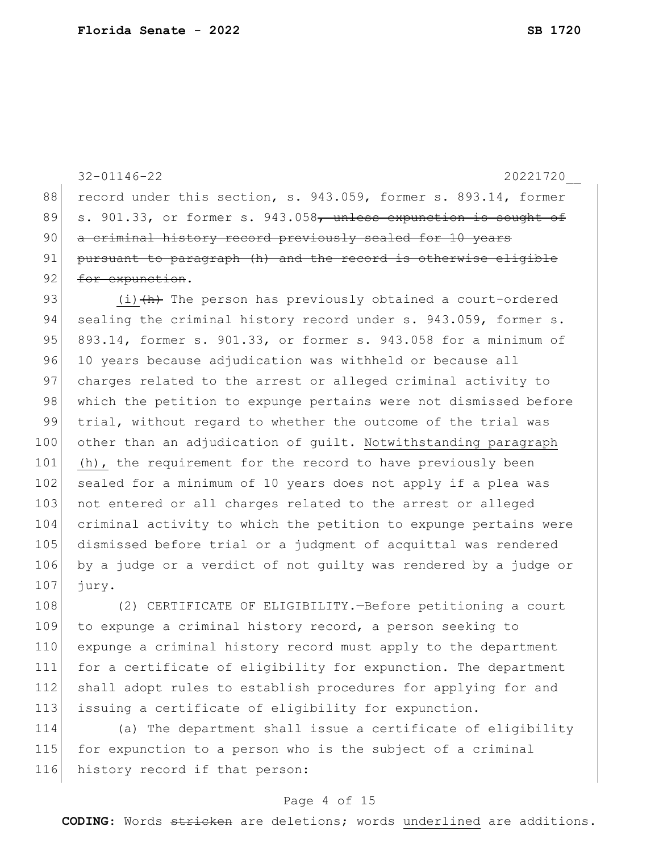32-01146-22 20221720\_\_ 88 record under this section, s. 943.059, former s. 893.14, former 89 s. 901.33, or former s. 943.058<del>, unless expunction is sought of</del> 90 a criminal history record previously sealed for 10 years 91 pursuant to paragraph (h) and the record is otherwise eligible 92 for expunction. 93  $(i)$   $\leftrightarrow$  The person has previously obtained a court-ordered 94 sealing the criminal history record under s. 943.059, former s. 95 893.14, former s. 901.33, or former s. 943.058 for a minimum of 96 10 years because adjudication was withheld or because all 97 charges related to the arrest or alleged criminal activity to 98 which the petition to expunge pertains were not dismissed before 99 trial, without regard to whether the outcome of the trial was 100 other than an adjudication of guilt. Notwithstanding paragraph 101 (h), the requirement for the record to have previously been 102 sealed for a minimum of 10 years does not apply if a plea was 103 not entered or all charges related to the arrest or alleged 104 criminal activity to which the petition to expunge pertains were 105 dismissed before trial or a judgment of acquittal was rendered 106 by a judge or a verdict of not guilty was rendered by a judge or 107 jury.

 (2) CERTIFICATE OF ELIGIBILITY.—Before petitioning a court to expunge a criminal history record, a person seeking to expunge a criminal history record must apply to the department for a certificate of eligibility for expunction. The department 112 shall adopt rules to establish procedures for applying for and issuing a certificate of eligibility for expunction.

114 (a) The department shall issue a certificate of eligibility 115 for expunction to a person who is the subject of a criminal 116 history record if that person:

#### Page 4 of 15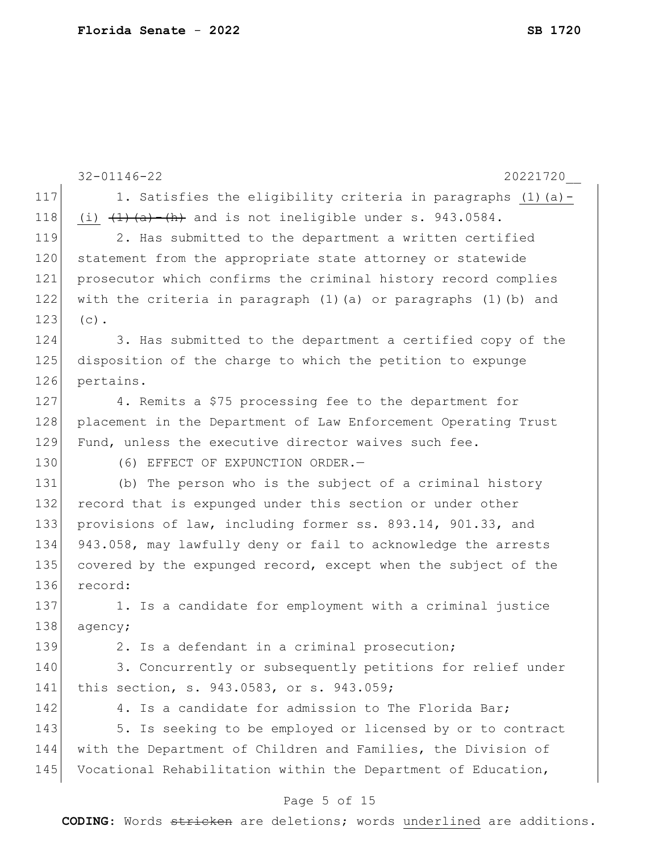|     | $32 - 01146 - 22$<br>20221720                                              |
|-----|----------------------------------------------------------------------------|
| 117 | 1. Satisfies the eligibility criteria in paragraphs (1)(a)-                |
| 118 | (i) $(1)$ $(1)$ $(2)$ $(2)$ $(3)$ and is not ineligible under s. 943.0584. |
| 119 | 2. Has submitted to the department a written certified                     |
| 120 | statement from the appropriate state attorney or statewide                 |
| 121 | prosecutor which confirms the criminal history record complies             |
| 122 | with the criteria in paragraph (1) (a) or paragraphs (1) (b) and           |
| 123 | $(c)$ .                                                                    |
| 124 | 3. Has submitted to the department a certified copy of the                 |
| 125 | disposition of the charge to which the petition to expunge                 |
| 126 | pertains.                                                                  |
| 127 | 4. Remits a \$75 processing fee to the department for                      |
| 128 | placement in the Department of Law Enforcement Operating Trust             |
| 129 | Fund, unless the executive director waives such fee.                       |
| 130 | (6) EFFECT OF EXPUNCTION ORDER.-                                           |
| 131 | (b) The person who is the subject of a criminal history                    |
| 132 | record that is expunged under this section or under other                  |
| 133 | provisions of law, including former ss. 893.14, 901.33, and                |
| 134 | 943.058, may lawfully deny or fail to acknowledge the arrests              |
| 135 | covered by the expunged record, except when the subject of the             |
| 136 | record:                                                                    |
| 137 | 1. Is a candidate for employment with a criminal justice                   |
| 138 | agency;                                                                    |
| 139 | 2. Is a defendant in a criminal prosecution;                               |
| 140 | 3. Concurrently or subsequently petitions for relief under                 |
| 141 | this section, s. 943.0583, or s. 943.059;                                  |
| 142 | 4. Is a candidate for admission to The Florida Bar;                        |
| 143 | 5. Is seeking to be employed or licensed by or to contract                 |
| 144 | with the Department of Children and Families, the Division of              |
| 145 | Vocational Rehabilitation within the Department of Education,              |
|     | Page 5 of 15                                                               |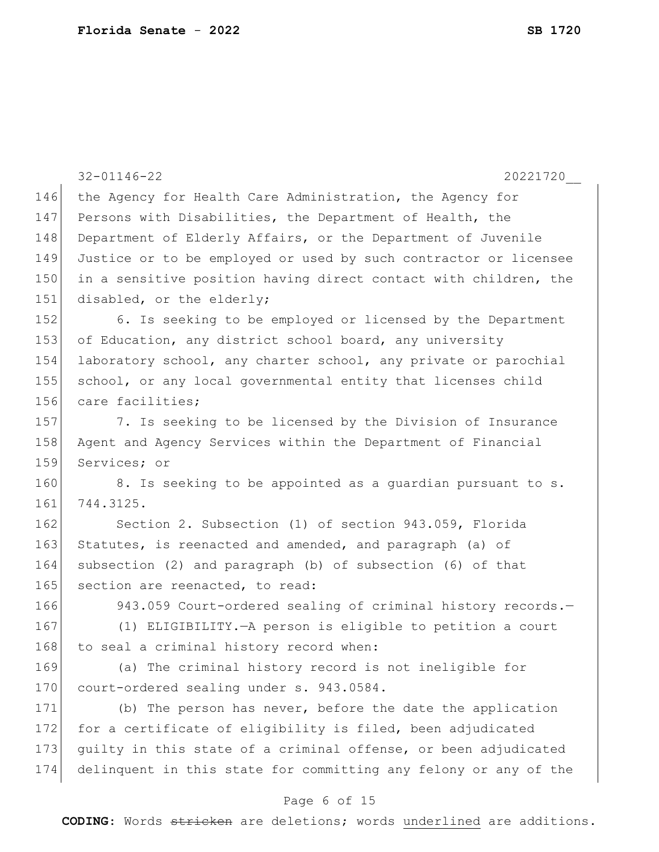|     | $32 - 01146 - 22$<br>20221720                                    |
|-----|------------------------------------------------------------------|
| 146 | the Agency for Health Care Administration, the Agency for        |
| 147 | Persons with Disabilities, the Department of Health, the         |
| 148 | Department of Elderly Affairs, or the Department of Juvenile     |
| 149 | Justice or to be employed or used by such contractor or licensee |
| 150 | in a sensitive position having direct contact with children, the |
| 151 | disabled, or the elderly;                                        |
| 152 | 6. Is seeking to be employed or licensed by the Department       |
| 153 | of Education, any district school board, any university          |
| 154 | laboratory school, any charter school, any private or parochial  |
| 155 | school, or any local governmental entity that licenses child     |
| 156 | care facilities;                                                 |
| 157 | 7. Is seeking to be licensed by the Division of Insurance        |
| 158 | Agent and Agency Services within the Department of Financial     |
| 159 | Services; or                                                     |
| 160 | 8. Is seeking to be appointed as a guardian pursuant to s.       |
| 161 | 744.3125.                                                        |
| 162 | Section 2. Subsection (1) of section 943.059, Florida            |
| 163 | Statutes, is reenacted and amended, and paragraph (a) of         |
| 164 | subsection (2) and paragraph (b) of subsection (6) of that       |
| 165 | section are reenacted, to read:                                  |
| 166 | 943.059 Court-ordered sealing of criminal history records.-      |
| 167 | (1) ELIGIBILITY. - A person is eligible to petition a court      |
| 168 | to seal a criminal history record when:                          |
| 169 | (a) The criminal history record is not ineligible for            |
| 170 | court-ordered sealing under s. 943.0584.                         |
| 171 | (b) The person has never, before the date the application        |
| 172 | for a certificate of eligibility is filed, been adjudicated      |
| 173 | guilty in this state of a criminal offense, or been adjudicated  |
| 174 | delinquent in this state for committing any felony or any of the |

## Page 6 of 15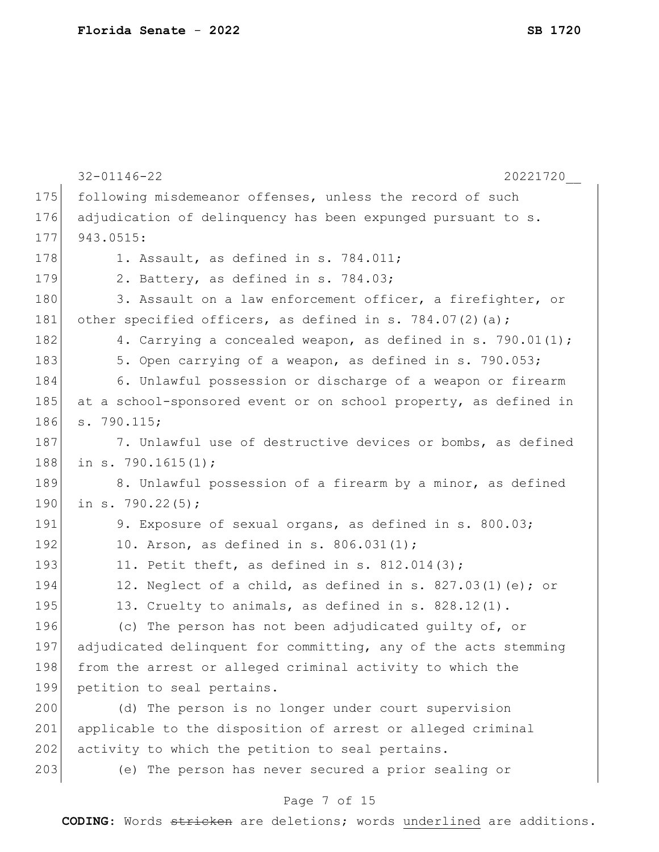|     | $32 - 01146 - 22$<br>20221720                                    |
|-----|------------------------------------------------------------------|
| 175 | following misdemeanor offenses, unless the record of such        |
| 176 | adjudication of delinquency has been expunged pursuant to s.     |
| 177 | 943.0515:                                                        |
| 178 | 1. Assault, as defined in s. 784.011;                            |
| 179 | 2. Battery, as defined in s. 784.03;                             |
| 180 | 3. Assault on a law enforcement officer, a firefighter, or       |
| 181 | other specified officers, as defined in s. 784.07(2)(a);         |
| 182 | 4. Carrying a concealed weapon, as defined in s. 790.01(1);      |
| 183 | 5. Open carrying of a weapon, as defined in s. 790.053;          |
| 184 | 6. Unlawful possession or discharge of a weapon or firearm       |
| 185 | at a school-sponsored event or on school property, as defined in |
| 186 | s. 790.115;                                                      |
| 187 | 7. Unlawful use of destructive devices or bombs, as defined      |
| 188 | in s. 790.1615 $(1)$ ;                                           |
| 189 | 8. Unlawful possession of a firearm by a minor, as defined       |
| 190 | in s. 790.22 $(5)$ ;                                             |
| 191 | 9. Exposure of sexual organs, as defined in s. 800.03;           |
| 192 | 10. Arson, as defined in s. 806.031(1);                          |
| 193 | 11. Petit theft, as defined in s. $812.014(3)$ ;                 |
| 194 | 12. Neglect of a child, as defined in s. 827.03(1)(e); or        |
| 195 | 13. Cruelty to animals, as defined in s. 828.12(1).              |
| 196 | (c) The person has not been adjudicated guilty of, or            |
| 197 | adjudicated delinquent for committing, any of the acts stemming  |
| 198 | from the arrest or alleged criminal activity to which the        |
| 199 | petition to seal pertains.                                       |
| 200 | (d) The person is no longer under court supervision              |
| 201 | applicable to the disposition of arrest or alleged criminal      |
| 202 | activity to which the petition to seal pertains.                 |
| 203 | (e) The person has never secured a prior sealing or              |
|     |                                                                  |

## Page 7 of 15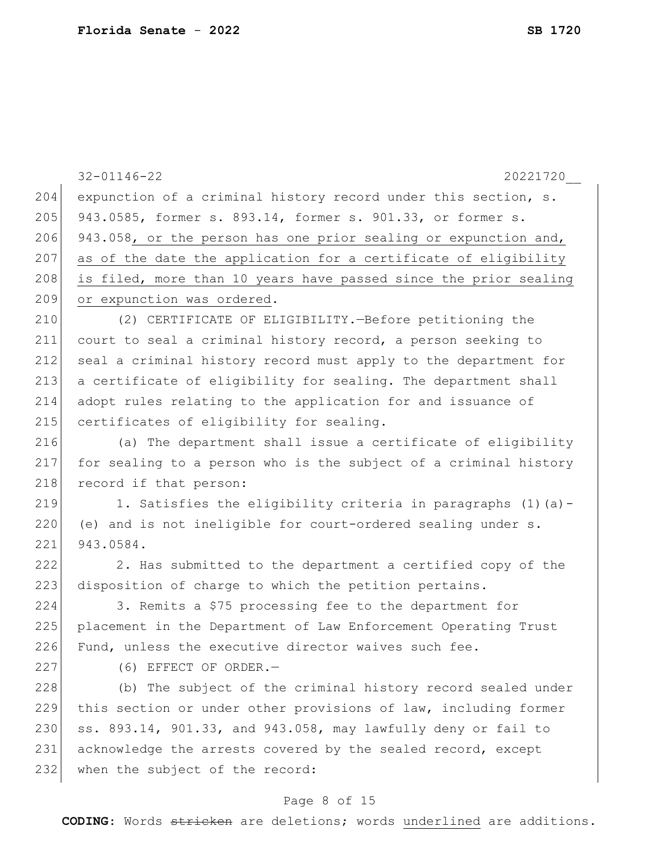|     | $32 - 01146 - 22$<br>20221720                                    |
|-----|------------------------------------------------------------------|
| 204 | expunction of a criminal history record under this section, s.   |
| 205 | 943.0585, former s. 893.14, former s. 901.33, or former s.       |
| 206 | 943.058, or the person has one prior sealing or expunction and,  |
| 207 | as of the date the application for a certificate of eligibility  |
| 208 | is filed, more than 10 years have passed since the prior sealing |
| 209 | or expunction was ordered.                                       |
| 210 | (2) CERTIFICATE OF ELIGIBILITY. - Before petitioning the         |
| 211 | court to seal a criminal history record, a person seeking to     |
| 212 | seal a criminal history record must apply to the department for  |
| 213 | a certificate of eligibility for sealing. The department shall   |
| 214 | adopt rules relating to the application for and issuance of      |
| 215 | certificates of eligibility for sealing.                         |
| 216 | (a) The department shall issue a certificate of eligibility      |
| 217 | for sealing to a person who is the subject of a criminal history |
| 218 | record if that person:                                           |
| 219 | 1. Satisfies the eligibility criteria in paragraphs (1)(a)-      |
| 220 | (e) and is not ineligible for court-ordered sealing under s.     |
| 221 | 943.0584.                                                        |
| 222 | 2. Has submitted to the department a certified copy of the       |
| 223 | disposition of charge to which the petition pertains.            |
| 224 | 3. Remits a \$75 processing fee to the department for            |
| 225 | placement in the Department of Law Enforcement Operating Trust   |
| 226 | Fund, unless the executive director waives such fee.             |
| 227 | (6) EFFECT OF ORDER.-                                            |
| 228 | (b) The subject of the criminal history record sealed under      |
| 229 | this section or under other provisions of law, including former  |
| 230 | ss. 893.14, 901.33, and 943.058, may lawfully deny or fail to    |
| 231 | acknowledge the arrests covered by the sealed record, except     |
| 232 | when the subject of the record:                                  |
|     |                                                                  |

## Page 8 of 15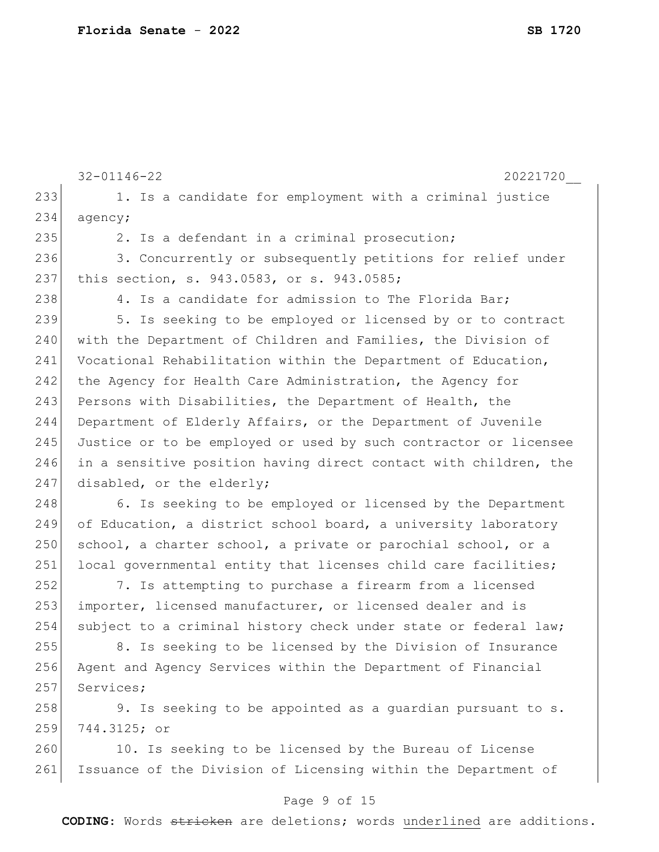|     | $32 - 01146 - 22$<br>20221720                                    |
|-----|------------------------------------------------------------------|
| 233 | 1. Is a candidate for employment with a criminal justice         |
| 234 | agency;                                                          |
| 235 | 2. Is a defendant in a criminal prosecution;                     |
| 236 | 3. Concurrently or subsequently petitions for relief under       |
| 237 | this section, s. 943.0583, or s. 943.0585;                       |
| 238 | 4. Is a candidate for admission to The Florida Bar;              |
| 239 | 5. Is seeking to be employed or licensed by or to contract       |
| 240 | with the Department of Children and Families, the Division of    |
| 241 | Vocational Rehabilitation within the Department of Education,    |
| 242 | the Agency for Health Care Administration, the Agency for        |
| 243 | Persons with Disabilities, the Department of Health, the         |
| 244 | Department of Elderly Affairs, or the Department of Juvenile     |
| 245 | Justice or to be employed or used by such contractor or licensee |
| 246 | in a sensitive position having direct contact with children, the |
| 247 | disabled, or the elderly;                                        |
| 248 | 6. Is seeking to be employed or licensed by the Department       |
| 249 | of Education, a district school board, a university laboratory   |
| 250 | school, a charter school, a private or parochial school, or a    |
| 251 | local governmental entity that licenses child care facilities;   |
| 252 | 7. Is attempting to purchase a firearm from a licensed           |
| 253 | importer, licensed manufacturer, or licensed dealer and is       |
| 254 | subject to a criminal history check under state or federal law;  |
| 255 | 8. Is seeking to be licensed by the Division of Insurance        |
| 256 | Agent and Agency Services within the Department of Financial     |
| 257 | Services;                                                        |
| 258 | 9. Is seeking to be appointed as a guardian pursuant to s.       |
| 259 | 744.3125; or                                                     |
| 260 | 10. Is seeking to be licensed by the Bureau of License           |
| 261 | Issuance of the Division of Licensing within the Department of   |
|     |                                                                  |

## Page 9 of 15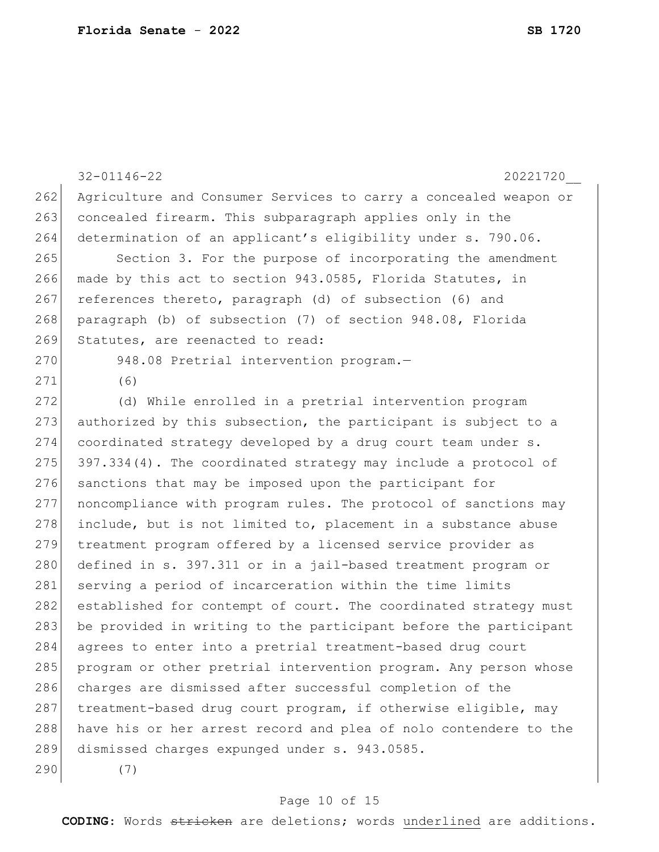|     | $32 - 01146 - 22$<br>20221720                                    |
|-----|------------------------------------------------------------------|
| 262 | Agriculture and Consumer Services to carry a concealed weapon or |
| 263 | concealed firearm. This subparagraph applies only in the         |
| 264 | determination of an applicant's eligibility under s. 790.06.     |
| 265 | Section 3. For the purpose of incorporating the amendment        |
| 266 | made by this act to section 943.0585, Florida Statutes, in       |
| 267 | references thereto, paragraph (d) of subsection (6) and          |
| 268 | paragraph (b) of subsection (7) of section 948.08, Florida       |
| 269 | Statutes, are reenacted to read:                                 |
| 270 | 948.08 Pretrial intervention program.-                           |
| 271 | (6)                                                              |
| 272 | (d) While enrolled in a pretrial intervention program            |
| 273 | authorized by this subsection, the participant is subject to a   |
| 274 | coordinated strategy developed by a drug court team under s.     |
| 275 | 397.334(4). The coordinated strategy may include a protocol of   |
| 276 | sanctions that may be imposed upon the participant for           |
| 277 | noncompliance with program rules. The protocol of sanctions may  |
| 278 | include, but is not limited to, placement in a substance abuse   |
| 279 | treatment program offered by a licensed service provider as      |
| 280 | defined in s. 397.311 or in a jail-based treatment program or    |
| 281 | serving a period of incarceration within the time limits         |
| 282 | established for contempt of court. The coordinated strategy must |
| 283 | be provided in writing to the participant before the participant |
| 284 | agrees to enter into a pretrial treatment-based drug court       |
| 285 | program or other pretrial intervention program. Any person whose |
| 286 | charges are dismissed after successful completion of the         |
| 287 | treatment-based drug court program, if otherwise eligible, may   |
| 288 | have his or her arrest record and plea of nolo contendere to the |
| 289 | dismissed charges expunged under s. 943.0585.                    |
| 290 | (7)                                                              |

## Page 10 of 15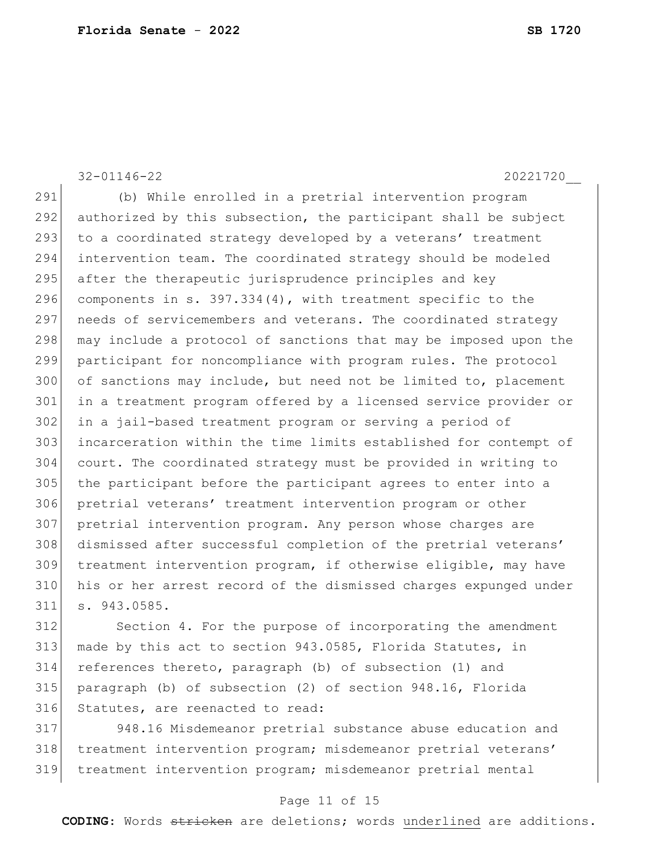32-01146-22 20221720\_\_ (b) While enrolled in a pretrial intervention program authorized by this subsection, the participant shall be subject 293 to a coordinated strategy developed by a veterans' treatment intervention team. The coordinated strategy should be modeled 295 after the therapeutic jurisprudence principles and key 296 components in s.  $397.334(4)$ , with treatment specific to the 297 needs of servicemembers and veterans. The coordinated strategy 298 may include a protocol of sanctions that may be imposed upon the participant for noncompliance with program rules. The protocol 300 of sanctions may include, but need not be limited to, placement in a treatment program offered by a licensed service provider or in a jail-based treatment program or serving a period of incarceration within the time limits established for contempt of court. The coordinated strategy must be provided in writing to the participant before the participant agrees to enter into a pretrial veterans' treatment intervention program or other pretrial intervention program. Any person whose charges are dismissed after successful completion of the pretrial veterans' treatment intervention program, if otherwise eligible, may have his or her arrest record of the dismissed charges expunged under s. 943.0585. Section 4. For the purpose of incorporating the amendment

 made by this act to section 943.0585, Florida Statutes, in references thereto, paragraph (b) of subsection (1) and paragraph (b) of subsection (2) of section 948.16, Florida 316 Statutes, are reenacted to read:

 948.16 Misdemeanor pretrial substance abuse education and 318 | treatment intervention program; misdemeanor pretrial veterans' treatment intervention program; misdemeanor pretrial mental

#### Page 11 of 15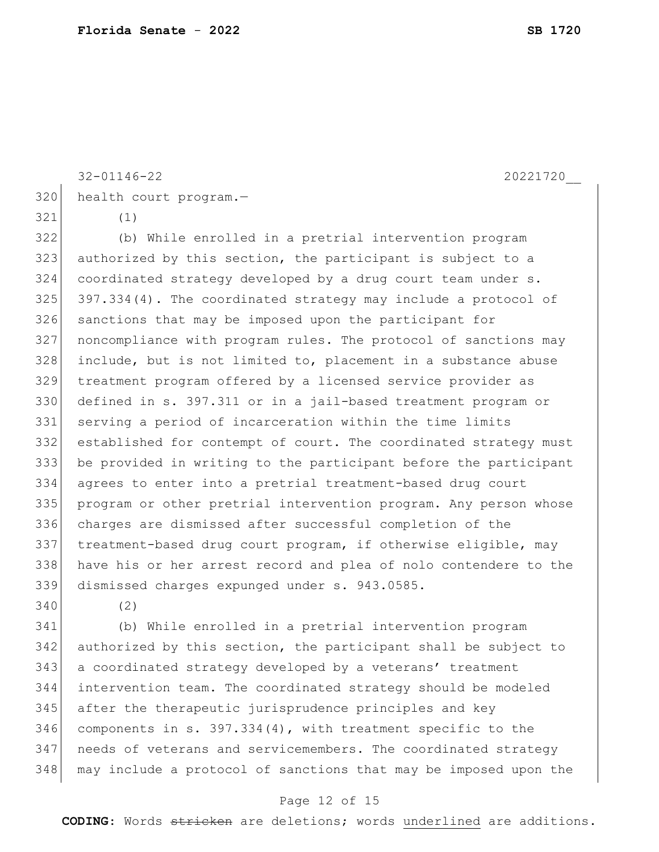```
320 health court program.-
321 (1)
322 (b) While enrolled in a pretrial intervention program 
323 authorized by this section, the participant is subject to a
```
 coordinated strategy developed by a drug court team under s. 397.334(4). The coordinated strategy may include a protocol of sanctions that may be imposed upon the participant for noncompliance with program rules. The protocol of sanctions may include, but is not limited to, placement in a substance abuse treatment program offered by a licensed service provider as defined in s. 397.311 or in a jail-based treatment program or serving a period of incarceration within the time limits established for contempt of court. The coordinated strategy must be provided in writing to the participant before the participant agrees to enter into a pretrial treatment-based drug court program or other pretrial intervention program. Any person whose charges are dismissed after successful completion of the treatment-based drug court program, if otherwise eligible, may have his or her arrest record and plea of nolo contendere to the dismissed charges expunged under s. 943.0585.

(2)

 (b) While enrolled in a pretrial intervention program authorized by this section, the participant shall be subject to 343 a coordinated strategy developed by a veterans' treatment intervention team. The coordinated strategy should be modeled after the therapeutic jurisprudence principles and key components in s. 397.334(4), with treatment specific to the 347 | needs of veterans and servicemembers. The coordinated strategy may include a protocol of sanctions that may be imposed upon the

#### Page 12 of 15

**CODING**: Words stricken are deletions; words underlined are additions.

32-01146-22 20221720\_\_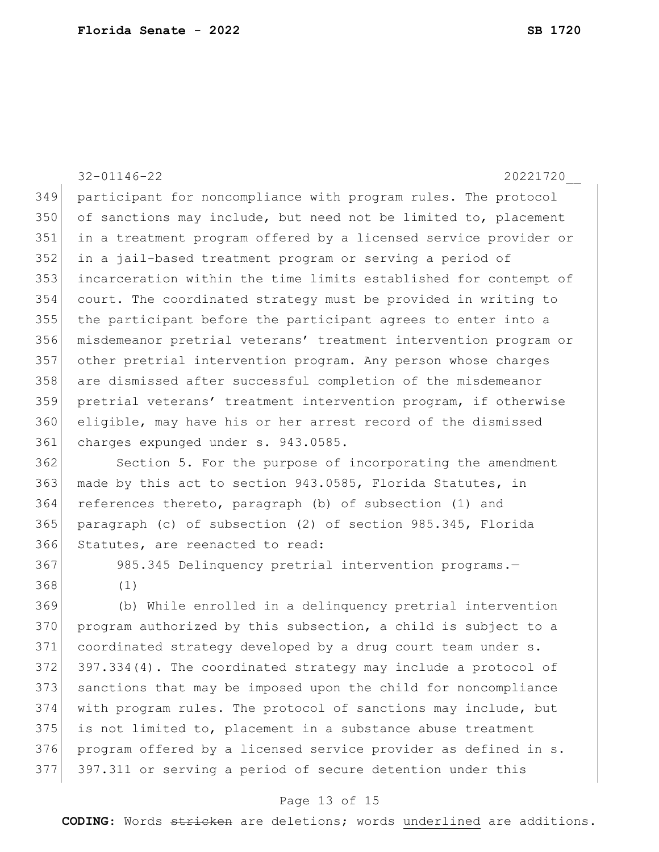|     | $32 - 01146 - 22$<br>20221720                                    |
|-----|------------------------------------------------------------------|
| 349 | participant for noncompliance with program rules. The protocol   |
| 350 | of sanctions may include, but need not be limited to, placement  |
| 351 | in a treatment program offered by a licensed service provider or |
| 352 | in a jail-based treatment program or serving a period of         |
| 353 | incarceration within the time limits established for contempt of |
| 354 | court. The coordinated strategy must be provided in writing to   |
| 355 | the participant before the participant agrees to enter into a    |
| 356 | misdemeanor pretrial veterans' treatment intervention program or |
| 357 | other pretrial intervention program. Any person whose charges    |
| 358 | are dismissed after successful completion of the misdemeanor     |
| 359 | pretrial veterans' treatment intervention program, if otherwise  |
| 360 | eligible, may have his or her arrest record of the dismissed     |
| 361 | charges expunged under s. 943.0585.                              |
| 362 | Section 5. For the purpose of incorporating the amendment        |
| 363 | made by this act to section 943.0585, Florida Statutes, in       |
| 364 | references thereto, paragraph (b) of subsection (1) and          |
| 365 | paragraph (c) of subsection (2) of section 985.345, Florida      |
| 366 | Statutes, are reenacted to read:                                 |
| 367 | 985.345 Delinquency pretrial intervention programs.-             |
| 368 | (1)                                                              |
| 369 | (b) While enrolled in a delinquency pretrial intervention        |
| 370 | program authorized by this subsection, a child is subject to a   |
| 371 | coordinated strategy developed by a drug court team under s.     |
| 372 | 397.334(4). The coordinated strategy may include a protocol of   |
| 373 | sanctions that may be imposed upon the child for noncompliance   |
| 374 | with program rules. The protocol of sanctions may include, but   |
| 375 | is not limited to, placement in a substance abuse treatment      |
| 376 | program offered by a licensed service provider as defined in s.  |

# 397.311 or serving a period of secure detention under this

#### Page 13 of 15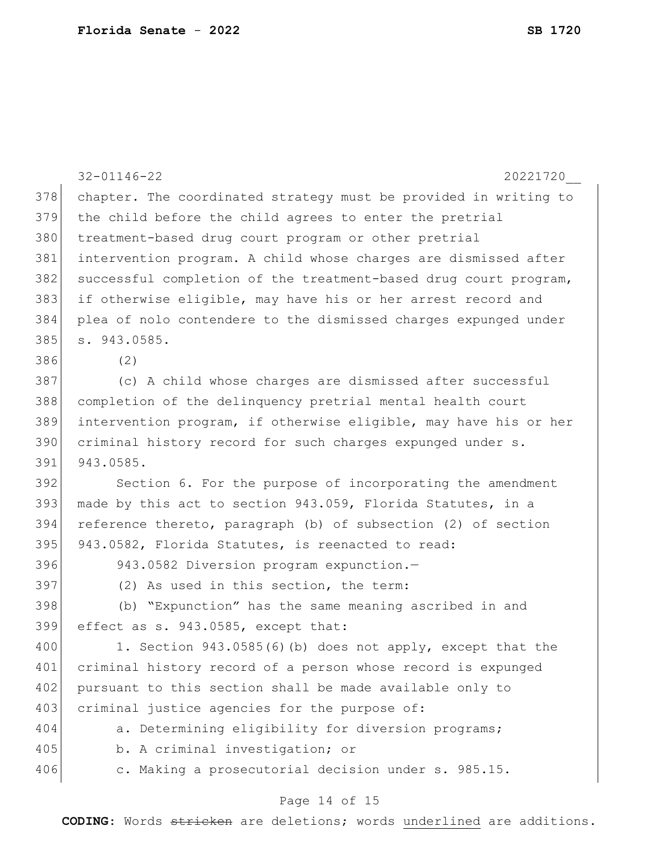|     | $32 - 01146 - 22$<br>20221720                                    |
|-----|------------------------------------------------------------------|
| 378 | chapter. The coordinated strategy must be provided in writing to |
| 379 | the child before the child agrees to enter the pretrial          |
| 380 | treatment-based drug court program or other pretrial             |
| 381 | intervention program. A child whose charges are dismissed after  |
| 382 | successful completion of the treatment-based drug court program, |
| 383 | if otherwise eligible, may have his or her arrest record and     |
| 384 | plea of nolo contendere to the dismissed charges expunged under  |
| 385 | s. 943.0585.                                                     |
| 386 | (2)                                                              |
| 387 | (c) A child whose charges are dismissed after successful         |
| 388 | completion of the delinquency pretrial mental health court       |
| 389 | intervention program, if otherwise eligible, may have his or her |
| 390 | criminal history record for such charges expunged under s.       |
| 391 | 943.0585.                                                        |
| 392 | Section 6. For the purpose of incorporating the amendment        |
| 393 | made by this act to section 943.059, Florida Statutes, in a      |
| 394 | reference thereto, paragraph (b) of subsection (2) of section    |
| 395 | 943.0582, Florida Statutes, is reenacted to read:                |
| 396 | 943.0582 Diversion program expunction.-                          |
| 397 | (2) As used in this section, the term:                           |
| 398 | (b) "Expunction" has the same meaning ascribed in and            |
| 399 | effect as s. 943.0585, except that:                              |
| 400 | 1. Section 943.0585(6)(b) does not apply, except that the        |
| 401 | criminal history record of a person whose record is expunged     |
| 402 | pursuant to this section shall be made available only to         |
| 403 | criminal justice agencies for the purpose of:                    |
| 404 | a. Determining eligibility for diversion programs;               |
| 405 | b. A criminal investigation; or                                  |
| 406 | c. Making a prosecutorial decision under s. 985.15.              |
|     | Page 14 of 15                                                    |